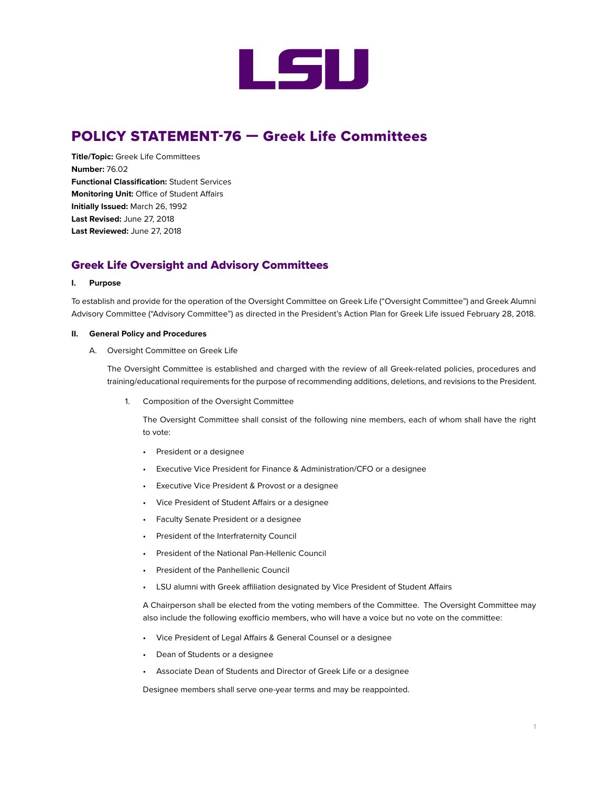

## POLICY STATEMENT-76 — Greek Life Committees

**Title/Topic:** Greek Life Committees **Number:** 76.02 **Functional Classification:** Student Services **Monitoring Unit:** Office of Student Affairs **Initially Issued:** March 26, 1992 **Last Revised:** June 27, 2018 **Last Reviewed:** June 27, 2018

## Greek Life Oversight and Advisory Committees

## **I. Purpose**

To establish and provide for the operation of the Oversight Committee on Greek Life ("Oversight Committee") and Greek Alumni Advisory Committee ("Advisory Committee") as directed in the President's Action Plan for Greek Life issued February 28, 2018.

## **II. General Policy and Procedures**

A. Oversight Committee on Greek Life

The Oversight Committee is established and charged with the review of all Greek-related policies, procedures and training/educational requirements for the purpose of recommending additions, deletions, and revisions to the President.

1. Composition of the Oversight Committee

The Oversight Committee shall consist of the following nine members, each of whom shall have the right to vote:

- President or a designee
- Executive Vice President for Finance & Administration/CFO or a designee
- Executive Vice President & Provost or a designee
- Vice President of Student Affairs or a designee
- Faculty Senate President or a designee
- President of the Interfraternity Council
- President of the National Pan-Hellenic Council
- President of the Panhellenic Council
- LSU alumni with Greek affiliation designated by Vice President of Student Affairs

A Chairperson shall be elected from the voting members of the Committee. The Oversight Committee may also include the following exofficio members, who will have a voice but no vote on the committee:

- Vice President of Legal Affairs & General Counsel or a designee
- Dean of Students or a designee
- Associate Dean of Students and Director of Greek Life or a designee

Designee members shall serve one-year terms and may be reappointed.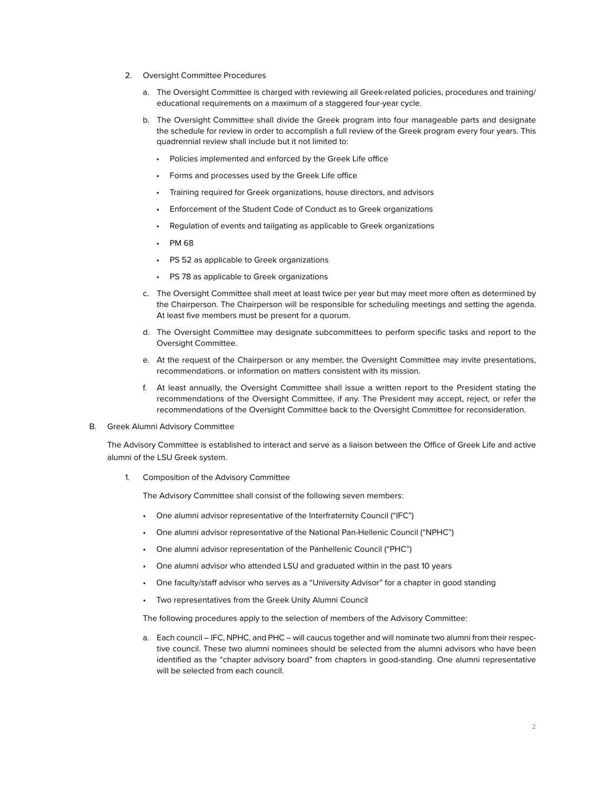- 2. Oversight Committee Procedures
	- a. The Oversight Committee is charged with reviewing all Greek-related policies, procedures and training/ educational requirements on a maximum of a staggered four-year cycle.
	- b. The Oversight Committee shall divide the Greek program into four manageable parts and designate the schedule for review in order to accomplish a full review of the Greek program every four years. This quadrennial review shall include but it not limited to:
		- Policies implemented and enforced by the Greek Life office
		- Forms and processes used by the Greek Life office
		- Training required for Greek organizations, house directors, and advisors
		- Enforcement of the Student Code of Conduct as to Greek organizations
		- Regulation of events and tailgating as applicable to Greek organizations
		- PM 68
		- PS 52 as applicable to Greek organizations
		- PS 78 as applicable to Greek organizations
	- c. The Oversight Committee shall meet at least twice per year but may meet more often as determined by the Chairperson. The Chairperson will be responsible for scheduling meetings and setting the agenda. At least five members must be present for a quorum.
	- d. The Oversight Committee may designate subcommittees to perform specific tasks and report to the Oversight Committee.
	- e. At the request of the Chairperson or any member, the Oversight Committee may invite presentations, recommendations. or information on matters consistent with its mission.
	- f. At least annually, the Oversight Committee shall issue a written report to the President stating the recommendations of the Oversight Committee, if any. The President may accept, reject, or refer the recommendations of the Oversight Committee back to the Oversight Committee for reconsideration.
- B. Greek Alumni Advisory Committee

The Advisory Committee is established to interact and serve as a liaison between the Office of Greek Life and active alumni of the LSU Greek system.

1. Composition of the Advisory Committee

The Advisory Committee shall consist of the following seven members:

- One alumni advisor representative of the Interfraternity Council ("IFC")
- One alumni advisor representative of the National Pan-Hellenic Council ("NPHC")
- One alumni advisor representation of the Panhellenic Council ("PHC")
- One alumni advisor who attended LSU and graduated within in the past 10 years
- One faculty/staff advisor who serves as a "University Advisor" for a chapter in good standing
- Two representatives from the Greek Unity Alumni Council

The following procedures apply to the selection of members of the Advisory Committee:

a. Each council – IFC, NPHC, and PHC – will caucus together and will nominate two alumni from their respective council. These two alumni nominees should be selected from the alumni advisors who have been identified as the "chapter advisory board" from chapters in good-standing. One alumni representative will be selected from each council.